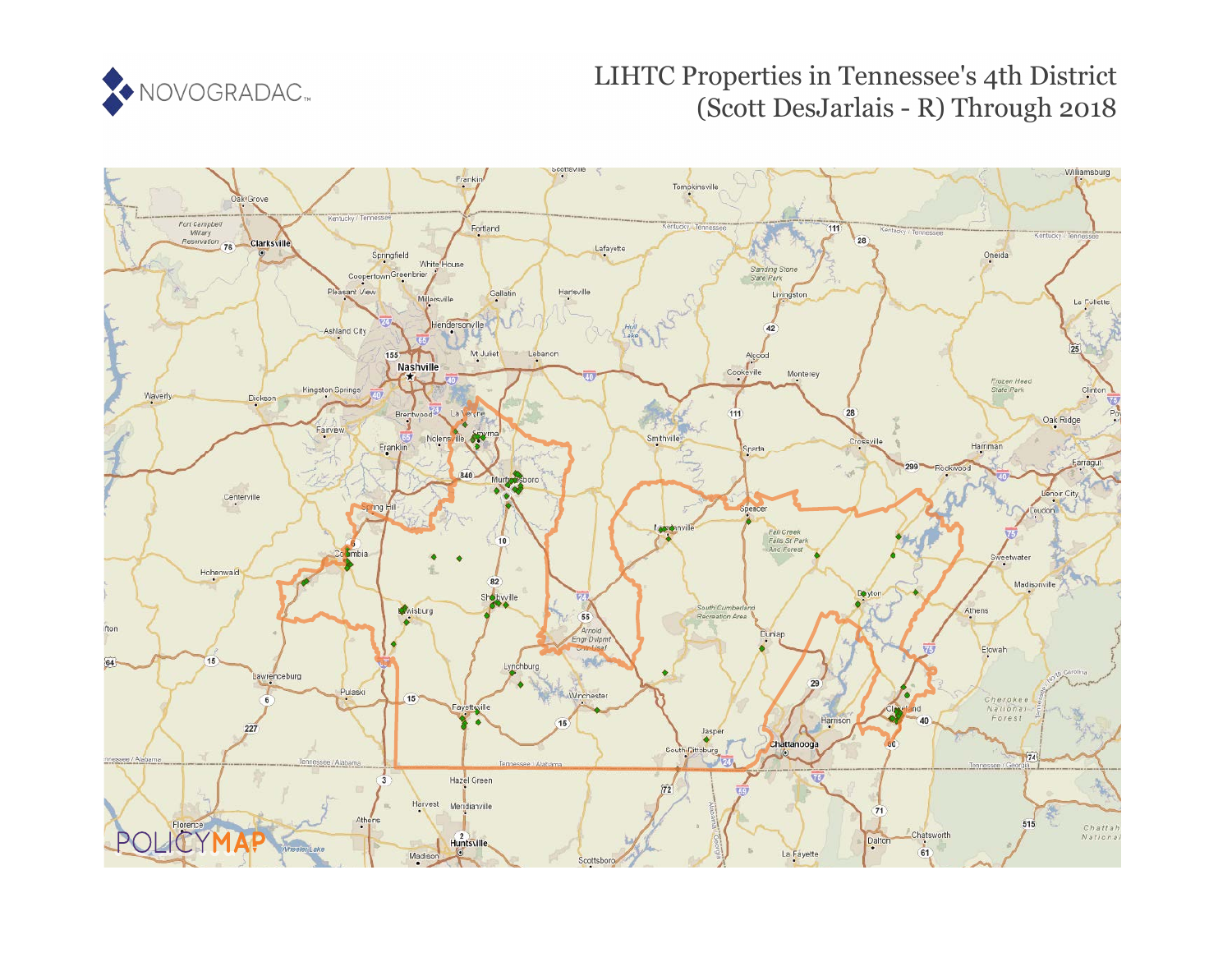

# LIHTC Properties in Tennessee's 4th District (Scott DesJarlais - R) Through 2018

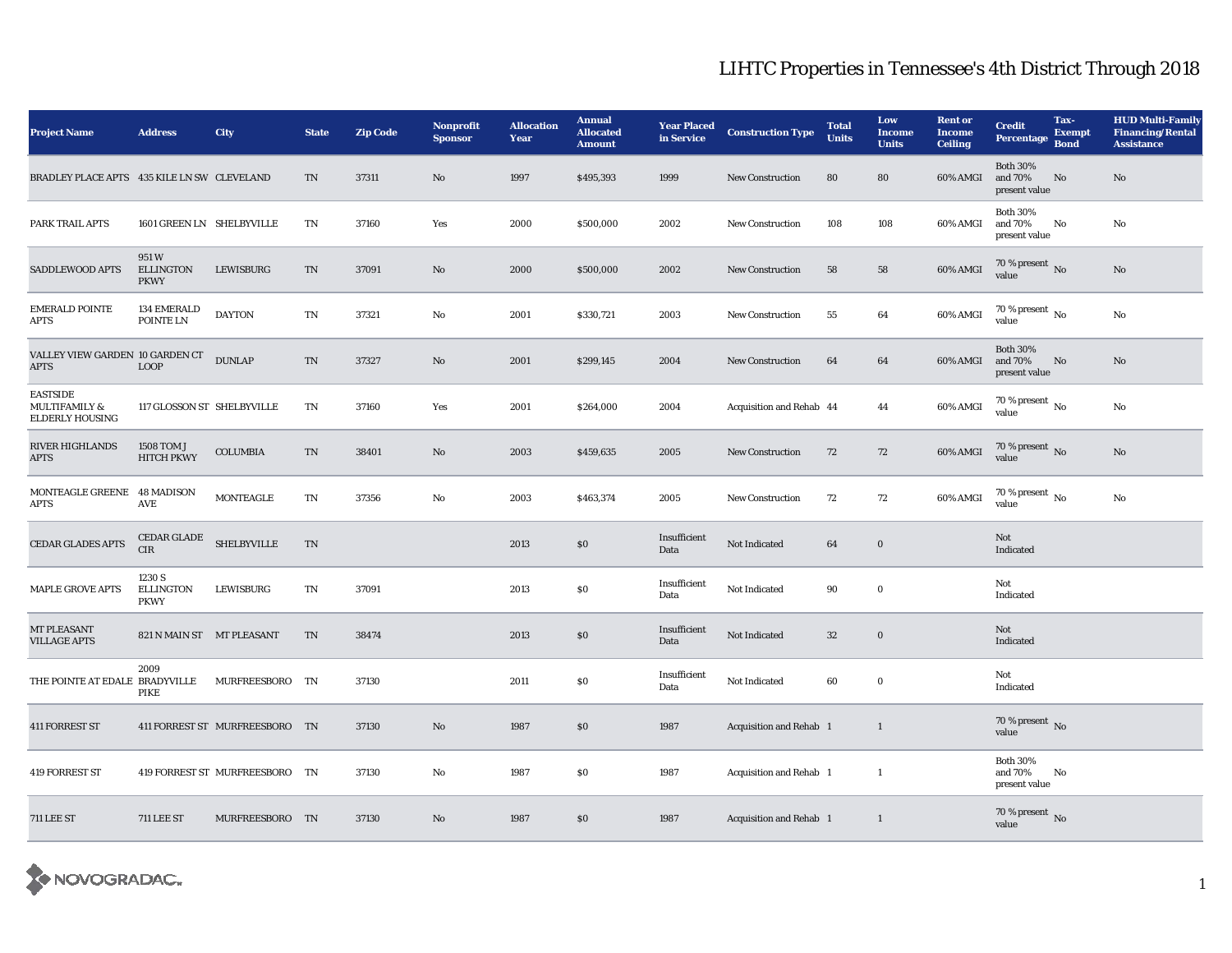| <b>Project Name</b>                                                   | <b>Address</b>                                                                      | <b>City</b>                    | <b>State</b> | <b>Zip Code</b> | Nonprofit<br><b>Sponsor</b> | <b>Allocation</b><br>Year | <b>Annual</b><br><b>Allocated</b><br><b>Amount</b> | <b>Year Placed<br/>in Service</b> | <b>Construction Type</b>       | <b>Total</b><br><b>Units</b> | Low<br><b>Income</b><br><b>Units</b> | <b>Rent or</b><br><b>Income</b><br><b>Ceiling</b> | <b>Credit</b><br>Percentage                 | Tax-<br><b>Exempt</b><br><b>Bond</b> | <b>HUD Multi-Family</b><br><b>Financing/Rental</b><br><b>Assistance</b> |
|-----------------------------------------------------------------------|-------------------------------------------------------------------------------------|--------------------------------|--------------|-----------------|-----------------------------|---------------------------|----------------------------------------------------|-----------------------------------|--------------------------------|------------------------------|--------------------------------------|---------------------------------------------------|---------------------------------------------|--------------------------------------|-------------------------------------------------------------------------|
| BRADLEY PLACE APTS 435 KILE LN SW CLEVELAND                           |                                                                                     |                                | TN           | 37311           | No                          | 1997                      | \$495,393                                          | 1999                              | <b>New Construction</b>        | 80                           | 80                                   | 60% AMGI                                          | <b>Both 30%</b><br>and 70%<br>present value | No                                   | $\rm No$                                                                |
| PARK TRAIL APTS                                                       | 1601 GREEN LN SHELBYVILLE                                                           |                                | TN           | 37160           | Yes                         | 2000                      | \$500,000                                          | 2002                              | <b>New Construction</b>        | 108                          | 108                                  | 60% AMGI                                          | <b>Both 30%</b><br>and 70%<br>present value | No                                   | No                                                                      |
| <b>SADDLEWOOD APTS</b>                                                | 951W<br><b>ELLINGTON</b><br><b>PKWY</b>                                             | LEWISBURG                      | <b>TN</b>    | 37091           | No                          | 2000                      | \$500,000                                          | 2002                              | <b>New Construction</b>        | 58                           | 58                                   | 60% AMGI                                          | $70\,\%$ present $\,$ No value              |                                      | $\rm No$                                                                |
| <b>EMERALD POINTE</b><br>APTS                                         | 134 EMERALD<br>POINTE LN                                                            | <b>DAYTON</b>                  | TN           | 37321           | No                          | 2001                      | \$330,721                                          | 2003                              | <b>New Construction</b>        | 55                           | 64                                   | 60% AMGI                                          | $70$ % present $\,$ No value                |                                      | No                                                                      |
| VALLEY VIEW GARDEN 10 GARDEN CT<br><b>APTS</b>                        | <b>LOOP</b>                                                                         | <b>DUNLAP</b>                  | <b>TN</b>    | 37327           | No                          | 2001                      | \$299,145                                          | 2004                              | <b>New Construction</b>        | 64                           | 64                                   | 60% AMGI                                          | <b>Both 30%</b><br>and 70%<br>present value | No                                   | No                                                                      |
| <b>EASTSIDE</b><br><b>MULTIFAMILY &amp;</b><br><b>ELDERLY HOUSING</b> | 117 GLOSSON ST SHELBYVILLE                                                          |                                | TN           | 37160           | Yes                         | 2001                      | \$264,000                                          | 2004                              | Acquisition and Rehab 44       |                              | 44                                   | 60% AMGI                                          | $70\,\%$ present $\,$ No value              |                                      | No                                                                      |
| <b>RIVER HIGHLANDS</b><br><b>APTS</b>                                 | 1508 TOM J<br><b>HITCH PKWY</b>                                                     | COLUMBIA                       | <b>TN</b>    | 38401           | No                          | 2003                      | \$459,635                                          | 2005                              | <b>New Construction</b>        | 72                           | 72                                   | $60\%$ AMGI                                       | $70\,\%$ present $\,$ No value              |                                      | No                                                                      |
| MONTEAGLE GREENE 48 MADISON<br>APTS                                   | AVE                                                                                 | <b>MONTEAGLE</b>               | TN           | 37356           | No                          | 2003                      | \$463,374                                          | 2005                              | <b>New Construction</b>        | 72                           | 72                                   | 60% AMGI                                          | 70 % present $\hbox{~No}$<br>value          |                                      | No                                                                      |
| <b>CEDAR GLADES APTS</b>                                              | $\begin{tabular}{ll} \bf CEDAR\ GLADE &\bf SHELBYVILLE \end{tabular}$<br><b>CIR</b> |                                | TN           |                 |                             | 2013                      | $\$0$                                              | Insufficient<br>Data              | Not Indicated                  | 64                           | $\boldsymbol{0}$                     |                                                   | Not<br>Indicated                            |                                      |                                                                         |
| <b>MAPLE GROVE APTS</b>                                               | 1230 S<br><b>ELLINGTON</b><br><b>PKWY</b>                                           | LEWISBURG                      | TN           | 37091           |                             | 2013                      | $\$0$                                              | Insufficient<br>Data              | Not Indicated                  | 90                           | $\bf{0}$                             |                                                   | Not<br>Indicated                            |                                      |                                                                         |
| MT PLEASANT<br><b>VILLAGE APTS</b>                                    | 821 N MAIN ST MT PLEASANT                                                           |                                | <b>TN</b>    | 38474           |                             | 2013                      | \$0                                                | Insufficient<br>Data              | Not Indicated                  | $32\,$                       | $\boldsymbol{0}$                     |                                                   | Not<br>Indicated                            |                                      |                                                                         |
| THE POINTE AT EDALE BRADYVILLE                                        | 2009<br>PIKE                                                                        | MURFREESBORO TN                |              | 37130           |                             | 2011                      | $\$0$                                              | Insufficient<br>Data              | Not Indicated                  | 60                           | $\bf{0}$                             |                                                   | Not<br>Indicated                            |                                      |                                                                         |
| <b>411 FORREST ST</b>                                                 |                                                                                     | 411 FORREST ST MURFREESBORO TN |              | 37130           | No                          | 1987                      | \$0                                                | 1987                              | <b>Acquisition and Rehab 1</b> |                              | $\mathbf{1}$                         |                                                   | 70 % present $\,$ No $\,$<br>value          |                                      |                                                                         |
| <b>419 FORREST ST</b>                                                 |                                                                                     | 419 FORREST ST MURFREESBORO TN |              | 37130           | No                          | 1987                      | \$0                                                | 1987                              | <b>Acquisition and Rehab</b> 1 |                              | $\mathbf{1}$                         |                                                   | <b>Both 30%</b><br>and 70%<br>present value | No                                   |                                                                         |
| <b>711 LEE ST</b>                                                     | <b>711 LEE ST</b>                                                                   | MURFREESBORO TN                |              | 37130           | No                          | 1987                      | $\$0$                                              | 1987                              | Acquisition and Rehab 1        |                              | $\mathbf{1}$                         |                                                   | 70 % present $\overline{N}$<br>value        |                                      |                                                                         |

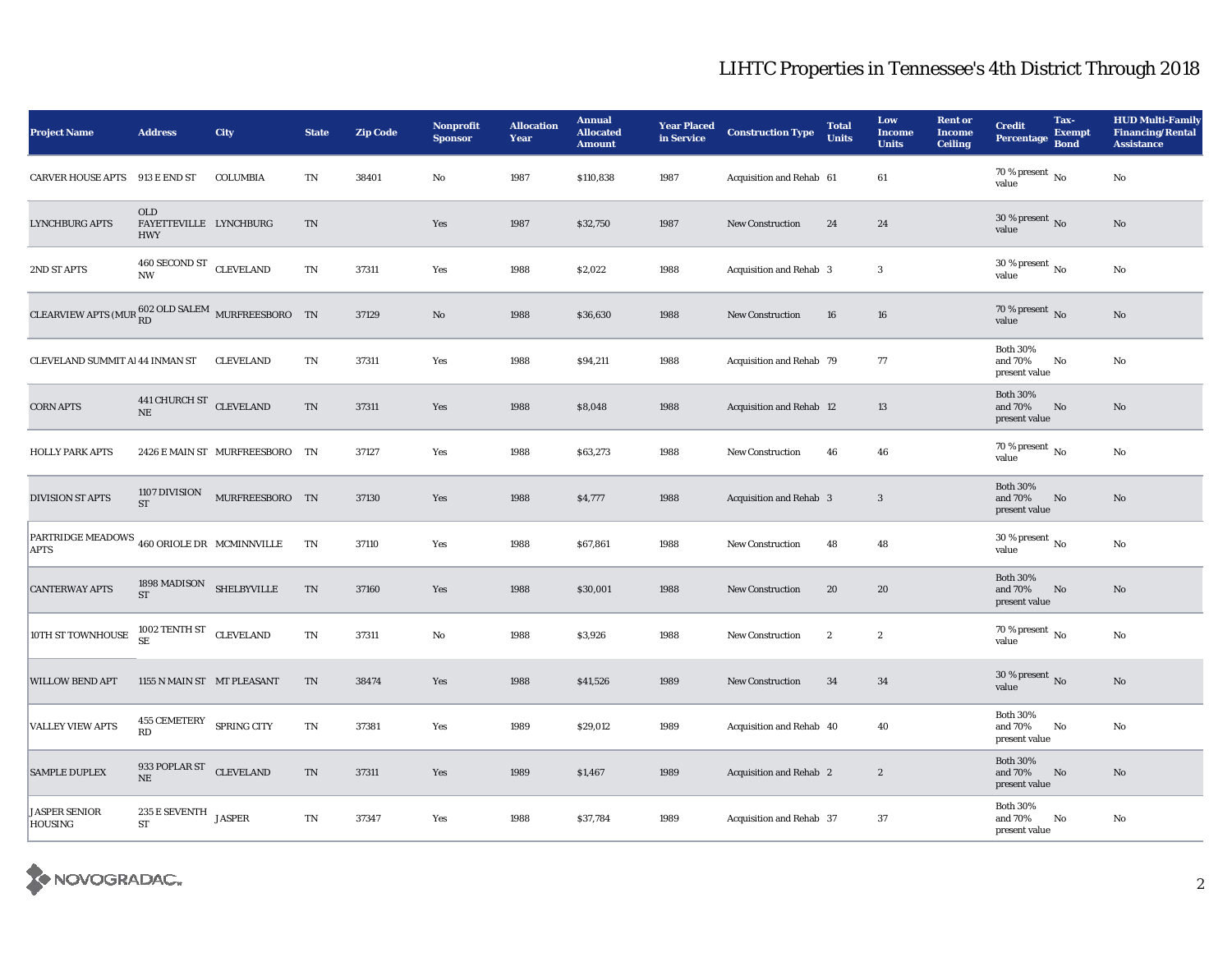| <b>Project Name</b>                                                    | <b>Address</b>                                     | <b>City</b>                    | <b>State</b> | <b>Zip Code</b> | Nonprofit<br><b>Sponsor</b> | <b>Allocation</b><br>Year | <b>Annual</b><br><b>Allocated</b><br><b>Amount</b> | <b>Year Placed<br/>in Service</b> | <b>Construction Type</b>       | <b>Total</b><br><b>Units</b> | Low<br><b>Income</b><br><b>Units</b> | <b>Rent or</b><br><b>Income</b><br><b>Ceiling</b> | <b>Credit</b><br>Percentage                 | Tax-<br><b>Exempt</b><br><b>Bond</b> | <b>HUD Multi-Family</b><br><b>Financing/Rental</b><br><b>Assistance</b> |
|------------------------------------------------------------------------|----------------------------------------------------|--------------------------------|--------------|-----------------|-----------------------------|---------------------------|----------------------------------------------------|-----------------------------------|--------------------------------|------------------------------|--------------------------------------|---------------------------------------------------|---------------------------------------------|--------------------------------------|-------------------------------------------------------------------------|
| CARVER HOUSE APTS 913 E END ST                                         |                                                    | COLUMBIA                       | <b>TN</b>    | 38401           | $\mathbf{No}$               | 1987                      | \$110,838                                          | 1987                              | Acquisition and Rehab 61       |                              | 61                                   |                                                   | 70 % present $\,$ No $\,$<br>value          |                                      | $\rm No$                                                                |
| <b>LYNCHBURG APTS</b>                                                  | <b>OLD</b><br>FAYETTEVILLE LYNCHBURG<br><b>HWY</b> |                                | <b>TN</b>    |                 | Yes                         | 1987                      | \$32,750                                           | 1987                              | New Construction               | 24                           | 24                                   |                                                   | 30 % present $\,$ No $\,$<br>value          |                                      | $\mathbf{N}\mathbf{o}$                                                  |
| 2ND ST APTS                                                            | 460 SECOND ST CLEVELAND<br><b>NW</b>               |                                | TN           | 37311           | Yes                         | 1988                      | \$2,022                                            | 1988                              | <b>Acquisition and Rehab 3</b> |                              | 3                                    |                                                   | 30 % present $\,$ No $\,$<br>value          |                                      | No                                                                      |
| CLEARVIEW APTS (MUR $_{\rm RD}^{\rm 602\;OLD\; SALEM}$ MURFREESBORO TN |                                                    |                                |              | 37129           | No                          | 1988                      | \$36,630                                           | 1988                              | New Construction               | 16                           | 16                                   |                                                   | 70 % present $\,$ No $\,$<br>value          |                                      | $\mathbf{N}\mathbf{o}$                                                  |
| CLEVELAND SUMMIT Al 44 INMAN ST                                        |                                                    | <b>CLEVELAND</b>               | <b>TN</b>    | 37311           | Yes                         | 1988                      | \$94,211                                           | 1988                              | Acquisition and Rehab 79       |                              | 77                                   |                                                   | <b>Both 30%</b><br>and 70%<br>present value | $\rm No$                             | No                                                                      |
| <b>CORN APTS</b>                                                       | 441 CHURCH ST CLEVELAND<br><b>NE</b>               |                                | $\mbox{TN}$  | 37311           | Yes                         | 1988                      | \$8,048                                            | 1988                              | Acquisition and Rehab 12       |                              | 13                                   |                                                   | <b>Both 30%</b><br>and 70%<br>present value | No                                   | $\mathbf{N}\mathbf{o}$                                                  |
| <b>HOLLY PARK APTS</b>                                                 |                                                    | 2426 E MAIN ST MURFREESBORO TN |              | 37127           | Yes                         | 1988                      | \$63,273                                           | 1988                              | <b>New Construction</b>        | 46                           | 46                                   |                                                   | 70 % present $\,$ No $\,$<br>value          |                                      | No                                                                      |
| <b>DIVISION ST APTS</b>                                                | 1107 DIVISION<br><b>ST</b>                         | MURFREESBORO TN                |              | 37130           | Yes                         | 1988                      | \$4,777                                            | 1988                              | Acquisition and Rehab 3        |                              | $\boldsymbol{3}$                     |                                                   | <b>Both 30%</b><br>and 70%<br>present value | No                                   | $\mathbf{N}\mathbf{o}$                                                  |
| PARTRIDGE MEADOWS 460 ORIOLE DR MCMINNVILLE<br><b>APTS</b>             |                                                    |                                | <b>TN</b>    | 37110           | Yes                         | 1988                      | \$67,861                                           | 1988                              | <b>New Construction</b>        | 48                           | 48                                   |                                                   | 30 % present $\overline{N_0}$<br>value      |                                      | $\rm No$                                                                |
| <b>CANTERWAY APTS</b>                                                  | $1898$ MADISON $$\rm SHELBYVILLE$$<br><b>ST</b>    |                                | <b>TN</b>    | 37160           | Yes                         | 1988                      | \$30,001                                           | 1988                              | <b>New Construction</b>        | 20                           | 20                                   |                                                   | <b>Both 30%</b><br>and 70%<br>present value | No                                   | $\mathbf{N}\mathbf{o}$                                                  |
| 10TH ST TOWNHOUSE                                                      | 1002 TENTH ST CLEVELAND<br><b>SE</b>               |                                | TN           | 37311           | No                          | 1988                      | \$3,926                                            | 1988                              | <b>New Construction</b>        | $\boldsymbol{2}$             | $\boldsymbol{2}$                     |                                                   | 70 % present $\,$ No $\,$<br>value          |                                      | No                                                                      |
| <b>WILLOW BEND APT</b>                                                 | 1155 N MAIN ST MT PLEASANT                         |                                | TN           | 38474           | Yes                         | 1988                      | \$41,526                                           | 1989                              | New Construction               | 34                           | 34                                   |                                                   | 30 % present $\,$ No $\,$<br>value          |                                      | $\mathbf{N}\mathbf{o}$                                                  |
| <b>VALLEY VIEW APTS</b>                                                | 455 CEMETERY SPRING CITY<br>RD                     |                                | <b>TN</b>    | 37381           | Yes                         | 1989                      | \$29,012                                           | 1989                              | Acquisition and Rehab 40       |                              | 40                                   |                                                   | <b>Both 30%</b><br>and 70%<br>present value | No                                   | No                                                                      |
| <b>SAMPLE DUPLEX</b>                                                   | 933 POPLAR ST CLEVELAND<br><b>NE</b>               |                                | <b>TN</b>    | 37311           | Yes                         | 1989                      | \$1,467                                            | 1989                              | <b>Acquisition and Rehab 2</b> |                              | $\boldsymbol{2}$                     |                                                   | <b>Both 30%</b><br>and 70%<br>present value | No                                   | No                                                                      |
| JASPER SENIOR<br><b>HOUSING</b>                                        | 235 E SEVENTH $_{\rm JASPER}$<br>ST                |                                | TN           | 37347           | Yes                         | 1988                      | \$37,784                                           | 1989                              | Acquisition and Rehab 37       |                              | 37                                   |                                                   | <b>Both 30%</b><br>and 70%<br>present value | No                                   | No                                                                      |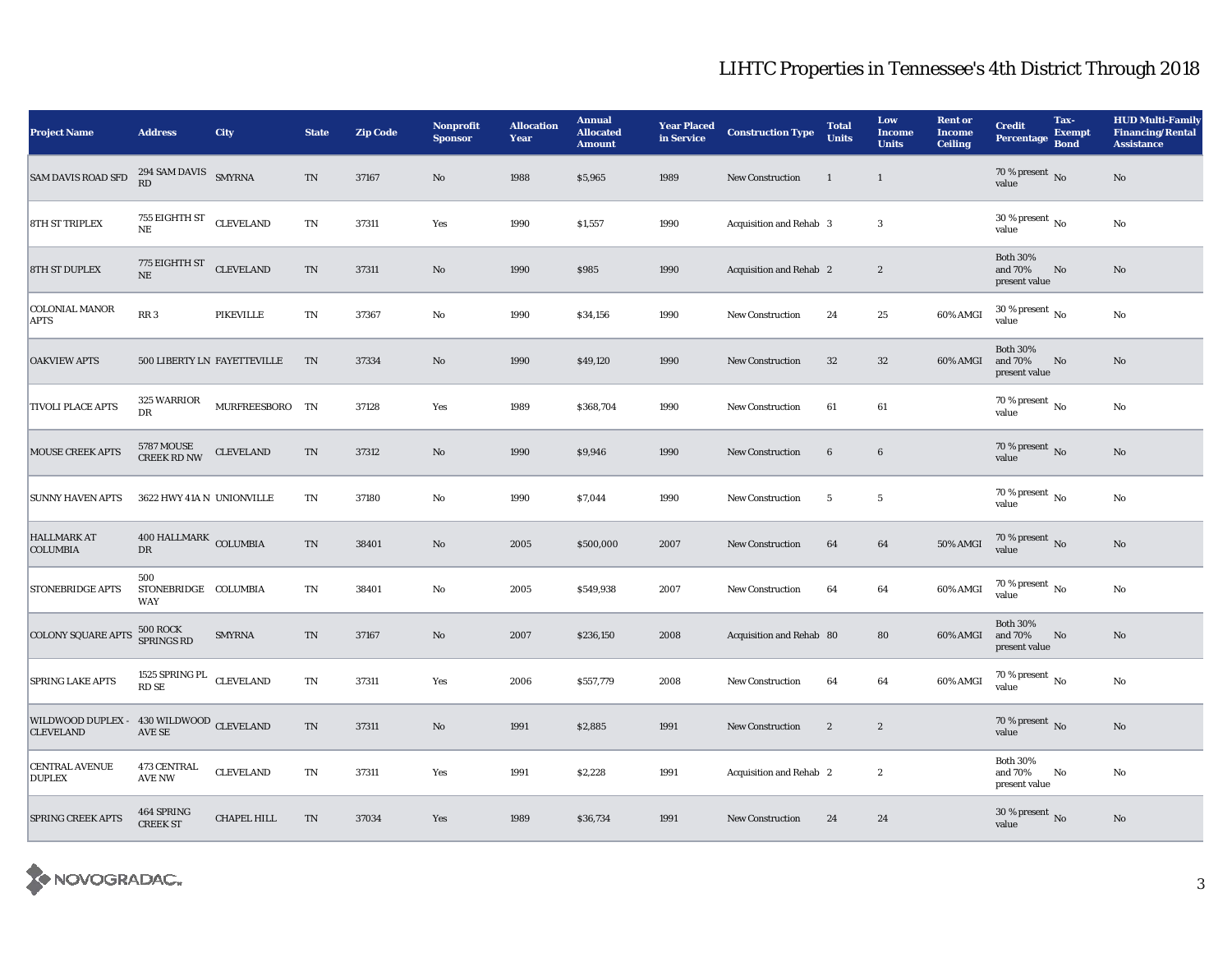| <b>Project Name</b>                                                                                                                            | <b>Address</b>                                  | City                        | <b>State</b>             | <b>Zip Code</b> | <b>Nonprofit</b><br><b>Sponsor</b> | <b>Allocation</b><br>Year | <b>Annual</b><br><b>Allocated</b><br><b>Amount</b> | <b>Year Placed<br/>in Service</b> | <b>Construction Type</b>       | <b>Total</b><br><b>Units</b> | Low<br><b>Income</b><br><b>Units</b> | <b>Rent or</b><br><b>Income</b><br><b>Ceiling</b> | <b>Credit</b><br><b>Percentage</b>          | Tax-<br><b>Exempt</b><br><b>Bond</b> | <b>HUD Multi-Family</b><br><b>Financing/Rental</b><br><b>Assistance</b> |
|------------------------------------------------------------------------------------------------------------------------------------------------|-------------------------------------------------|-----------------------------|--------------------------|-----------------|------------------------------------|---------------------------|----------------------------------------------------|-----------------------------------|--------------------------------|------------------------------|--------------------------------------|---------------------------------------------------|---------------------------------------------|--------------------------------------|-------------------------------------------------------------------------|
| SAM DAVIS ROAD SFD                                                                                                                             | $294$ SAM DAVIS $$\rm SMYRNA$$<br>RD            |                             | $\mathcal{T}\mathcal{N}$ | 37167           | $\rm\thinspace No$                 | 1988                      | \$5,965                                            | 1989                              | New Construction               | $\mathbf{1}$                 | $\mathbf{1}$                         |                                                   | 70 % present $\overline{N}$ 0<br>value      |                                      | $\rm\thinspace No$                                                      |
| <b>8TH ST TRIPLEX</b>                                                                                                                          | 755 EIGHTH ST CLEVELAND<br>NE                   |                             | $\mathbf{T}\mathbf{N}$   | 37311           | Yes                                | 1990                      | \$1,557                                            | 1990                              | Acquisition and Rehab 3        |                              | 3                                    |                                                   | 30 % present $\overline{N_0}$<br>value      |                                      | No                                                                      |
| <b>8TH ST DUPLEX</b>                                                                                                                           | 775 EIGHTH ST<br>NE                             | <b>CLEVELAND</b>            | $\mathcal{T}\mathcal{N}$ | 37311           | No                                 | 1990                      | \$985                                              | 1990                              | Acquisition and Rehab 2        |                              | $\boldsymbol{2}$                     |                                                   | <b>Both 30%</b><br>and 70%<br>present value | No                                   | No                                                                      |
| <b>COLONIAL MANOR</b><br><b>APTS</b>                                                                                                           | RR <sub>3</sub>                                 | <b>PIKEVILLE</b>            | TN                       | 37367           | No                                 | 1990                      | \$34,156                                           | 1990                              | <b>New Construction</b>        | 24                           | 25                                   | 60% AMGI                                          | 30 % present $\,$ No $\,$<br>value          |                                      | No                                                                      |
| <b>OAKVIEW APTS</b>                                                                                                                            |                                                 | 500 LIBERTY LN FAYETTEVILLE | TN                       | 37334           | $\mathbf{No}$                      | 1990                      | \$49,120                                           | 1990                              | <b>New Construction</b>        | 32                           | 32                                   | 60% AMGI                                          | <b>Both 30%</b><br>and 70%<br>present value | No                                   | No                                                                      |
| <b>TIVOLI PLACE APTS</b>                                                                                                                       | 325 WARRIOR<br>${\rm DR}$                       | MURFREESBORO TN             |                          | 37128           | Yes                                | 1989                      | \$368,704                                          | 1990                              | <b>New Construction</b>        | 61                           | 61                                   |                                                   | 70 % present $\overline{N_0}$<br>value      |                                      | $\rm No$                                                                |
| <b>MOUSE CREEK APTS</b>                                                                                                                        | 5787 MOUSE<br>CREEK RD NW                       | <b>CLEVELAND</b>            | $\mathcal{T}\mathcal{N}$ | 37312           | No                                 | 1990                      | \$9,946                                            | 1990                              | <b>New Construction</b>        | $6\phantom{.}6$              | $\bf 6$                              |                                                   | $70\,\%$ present $\,$ No value              |                                      | No                                                                      |
| <b>SUNNY HAVEN APTS</b>                                                                                                                        | 3622 HWY 41A N UNIONVILLE                       |                             | TN                       | 37180           | No                                 | 1990                      | \$7,044                                            | 1990                              | New Construction               | $5\phantom{.0}$              | $5\phantom{.0}$                      |                                                   | $70\,\%$ present $_{\rm No}$                |                                      | No                                                                      |
| <b>HALLMARK AT</b><br><b>COLUMBIA</b>                                                                                                          | 400 HALLMARK COLUMBIA<br>DR                     |                             | $\mathcal{T}\mathcal{N}$ | 38401           | $\mathbf{N}\mathbf{o}$             | 2005                      | \$500,000                                          | 2007                              | <b>New Construction</b>        | 64                           | 64                                   | <b>50% AMGI</b>                                   | $70\,\%$ present $\,$ No value              |                                      | No                                                                      |
| <b>STONEBRIDGE APTS</b>                                                                                                                        | 500<br>STONEBRIDGE COLUMBIA<br>WAY              |                             | TN                       | 38401           | No                                 | 2005                      | \$549,938                                          | 2007                              | <b>New Construction</b>        | 64                           | 64                                   | 60% AMGI                                          | $70\,\%$ present $\,$ No value              |                                      | No                                                                      |
| <b>COLONY SQUARE APTS</b>                                                                                                                      | <b>500 ROCK</b><br><b>SPRINGS RD</b>            | <b>SMYRNA</b>               | $\rm TN$                 | 37167           | $\rm No$                           | 2007                      | \$236,150                                          | 2008                              | Acquisition and Rehab 80       |                              | 80                                   | 60% AMGI                                          | <b>Both 30%</b><br>and 70%<br>present value | No                                   | No                                                                      |
| <b>SPRING LAKE APTS</b>                                                                                                                        | $1525$ SPRING PL $\hfill {\rm CLEVELAND}$ RD SE |                             | $\mathbf{T}\mathbf{N}$   | 37311           | Yes                                | 2006                      | \$557,779                                          | 2008                              | <b>New Construction</b>        | 64                           | 64                                   | 60% AMGI                                          | $70\,\%$ present $\,$ No value              |                                      | $\mathbf{N}\mathbf{o}$                                                  |
| $\begin{array}{ll} \textbf{WILDWOOD DUPLEX} & \textbf{430 WILDWOOD} \\ \textbf{CLEVELAND} & \textbf{AVE SE} \\ \end{array} \textbf{CLEVELAND}$ |                                                 |                             | $\mathcal{T}\mathcal{N}$ | 37311           | $\mathbf{No}$                      | 1991                      | \$2,885                                            | 1991                              | New Construction               | $\boldsymbol{2}$             | $\boldsymbol{2}$                     |                                                   | $70\,\%$ present $_{\rm{No}}$               |                                      | No                                                                      |
| <b>CENTRAL AVENUE</b><br><b>DUPLEX</b>                                                                                                         | 473 CENTRAL<br><b>AVE NW</b>                    | ${\tt CLEVELAND}$           | TN                       | 37311           | Yes                                | 1991                      | \$2,228                                            | 1991                              | <b>Acquisition and Rehab 2</b> |                              | $\mathbf{2}$                         |                                                   | <b>Both 30%</b><br>and 70%<br>present value | No                                   | No                                                                      |
| <b>SPRING CREEK APTS</b>                                                                                                                       | 464 SPRING<br><b>CREEK ST</b>                   | <b>CHAPEL HILL</b>          | TN                       | 37034           | Yes                                | 1989                      | \$36,734                                           | 1991                              | <b>New Construction</b>        | 24                           | 24                                   |                                                   | 30 % present $\,$ No $\,$<br>value          |                                      | No                                                                      |

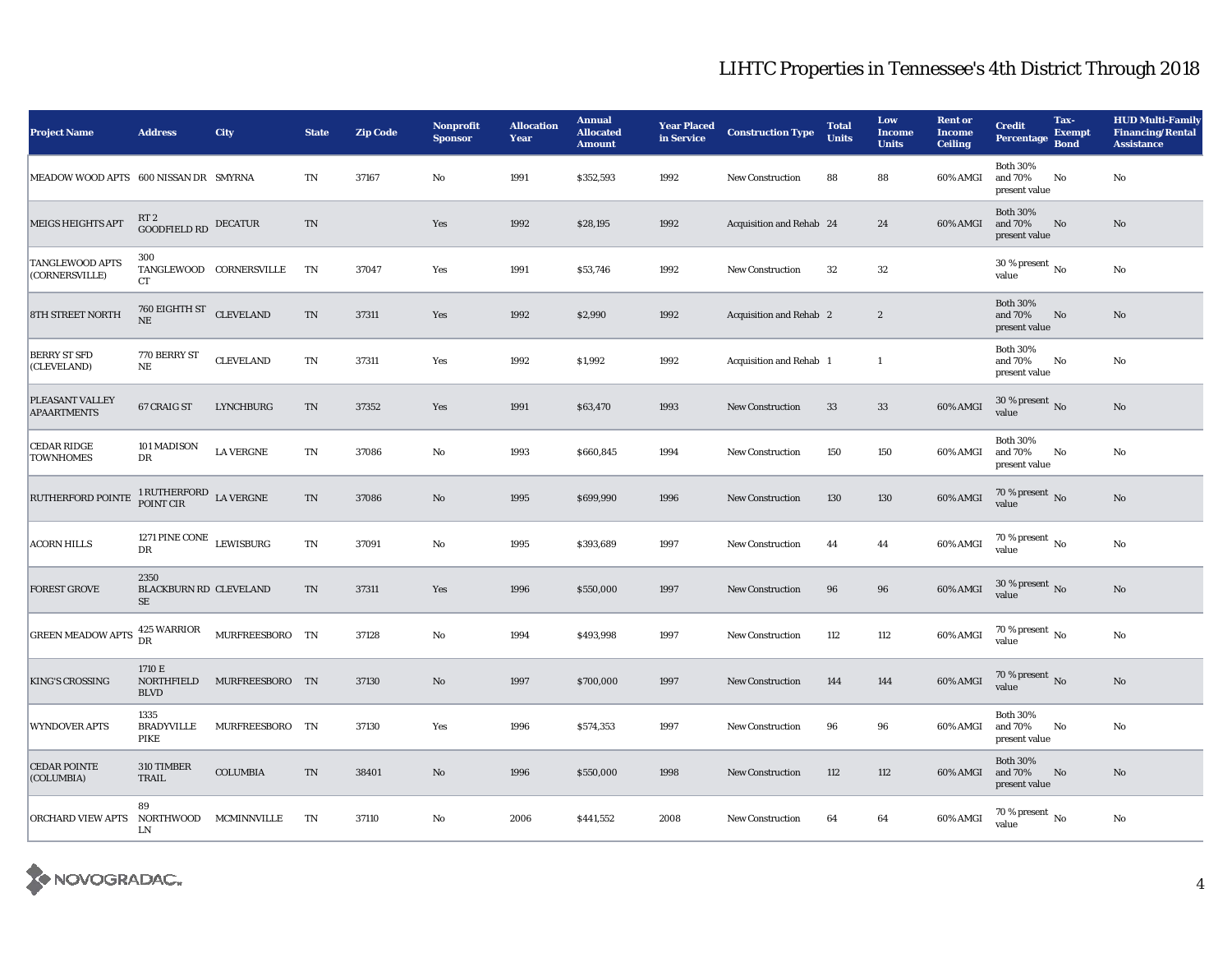| <b>Project Name</b>                      | <b>Address</b>                         | <b>City</b>             | <b>State</b>             | <b>Zip Code</b> | <b>Nonprofit</b><br><b>Sponsor</b> | <b>Allocation</b><br>Year | <b>Annual</b><br><b>Allocated</b><br><b>Amount</b> | <b>Year Placed</b><br>in Service | <b>Construction Type</b>       | <b>Total</b><br><b>Units</b> | Low<br><b>Income</b><br><b>Units</b> | <b>Rent or</b><br><b>Income</b><br><b>Ceiling</b> | Tax-<br><b>Credit</b><br><b>Exempt</b><br><b>Percentage</b><br><b>Bond</b> | <b>HUD Multi-Family</b><br><b>Financing/Rental</b><br><b>Assistance</b> |
|------------------------------------------|----------------------------------------|-------------------------|--------------------------|-----------------|------------------------------------|---------------------------|----------------------------------------------------|----------------------------------|--------------------------------|------------------------------|--------------------------------------|---------------------------------------------------|----------------------------------------------------------------------------|-------------------------------------------------------------------------|
| MEADOW WOOD APTS 600 NISSAN DR SMYRNA    |                                        |                         | TN                       | 37167           | $\mathbf{N}\mathbf{o}$             | 1991                      | \$352,593                                          | 1992                             | New Construction               | 88                           | 88                                   | 60% AMGI                                          | <b>Both 30%</b><br>and 70%<br>No<br>present value                          | $\rm No$                                                                |
| <b>MEIGS HEIGHTS APT</b>                 | RT 2<br><b>GOODFIELD RD</b> DECATUR    |                         | TN                       |                 | Yes                                | 1992                      | \$28,195                                           | 1992                             | Acquisition and Rehab 24       |                              | 24                                   | 60% AMGI                                          | <b>Both 30%</b><br>and 70%<br>No<br>present value                          | No                                                                      |
| <b>TANGLEWOOD APTS</b><br>(CORNERSVILLE) | 300<br><b>CT</b>                       | TANGLEWOOD CORNERSVILLE | TN                       | 37047           | Yes                                | 1991                      | \$53,746                                           | 1992                             | <b>New Construction</b>        | 32                           | 32                                   |                                                   | 30 % present $\,$ No $\,$<br>value                                         | No                                                                      |
| 8TH STREET NORTH                         | 760 EIGHTH ST CLEVELAND<br>NE          |                         | $\mathcal{T}\mathcal{N}$ | 37311           | Yes                                | 1992                      | \$2,990                                            | 1992                             | <b>Acquisition and Rehab 2</b> |                              | $\boldsymbol{2}$                     |                                                   | <b>Both 30%</b><br>and 70%<br>No<br>present value                          | No                                                                      |
| <b>BERRY ST SFD</b><br>(CLEVELAND)       | 770 BERRY ST<br>NE                     | <b>CLEVELAND</b>        | $\mathbf{T}\mathbf{N}$   | 37311           | Yes                                | 1992                      | \$1,992                                            | 1992                             | Acquisition and Rehab 1        |                              | -1                                   |                                                   | <b>Both 30%</b><br>and 70%<br>No<br>present value                          | No                                                                      |
| PLEASANT VALLEY<br><b>APAARTMENTS</b>    | 67 CRAIG ST                            | <b>LYNCHBURG</b>        | TN                       | 37352           | Yes                                | 1991                      | \$63,470                                           | 1993                             | <b>New Construction</b>        | 33                           | 33                                   | 60% AMGI                                          | 30 % present $\,$ No $\,$<br>value                                         | No                                                                      |
| <b>CEDAR RIDGE</b><br><b>TOWNHOMES</b>   | 101 MADISON<br>DR                      | <b>LA VERGNE</b>        | TN                       | 37086           | No                                 | 1993                      | \$660,845                                          | 1994                             | <b>New Construction</b>        | 150                          | 150                                  | 60% AMGI                                          | <b>Both 30%</b><br>No<br>and 70%<br>present value                          | No                                                                      |
| RUTHERFORD POINTE                        | 1 RUTHERFORD LA VERGNE POINT CIR       |                         | TN                       | 37086           | No                                 | 1995                      | \$699,990                                          | 1996                             | <b>New Construction</b>        | 130                          | 130                                  | 60% AMGI                                          | $70$ % present $_{\rm No}$                                                 | No                                                                      |
| <b>ACORN HILLS</b>                       | 1271 PINE CONE $$\tt LEWISBURG$$<br>DR |                         | TN                       | 37091           | No                                 | 1995                      | \$393,689                                          | 1997                             | <b>New Construction</b>        | 44                           | 44                                   | 60% AMGI                                          | $70$ % present $\,$ No value                                               | No                                                                      |
| <b>FOREST GROVE</b>                      | 2350<br>BLACKBURN RD CLEVELAND<br>SE   |                         | TN                       | 37311           | Yes                                | 1996                      | \$550,000                                          | 1997                             | <b>New Construction</b>        | 96                           | 96                                   | 60% AMGI                                          | $30$ % present $\,$ No value                                               | No                                                                      |
| <b>GREEN MEADOW APTS</b>                 | 425 WARRIOR<br><b>DR</b>               | MURFREESBORO TN         |                          | 37128           | No                                 | 1994                      | \$493,998                                          | 1997                             | New Construction               | 112                          | 112                                  | 60% AMGI                                          | 70 % present $\hbox{~No}$<br>value                                         | $\rm No$                                                                |
| <b>KING'S CROSSING</b>                   | 1710 E<br>NORTHFIELD<br><b>BLVD</b>    | MURFREESBORO TN         |                          | 37130           | No                                 | 1997                      | \$700,000                                          | 1997                             | <b>New Construction</b>        | 144                          | 144                                  | 60% AMGI                                          | 70 % present $\,$ No $\,$<br>value                                         | No                                                                      |
| <b>WYNDOVER APTS</b>                     | 1335<br><b>BRADYVILLE</b><br>PIKE      | MURFREESBORO TN         |                          | 37130           | Yes                                | 1996                      | \$574,353                                          | 1997                             | <b>New Construction</b>        | 96                           | 96                                   | 60% AMGI                                          | <b>Both 30%</b><br>and 70%<br>No<br>present value                          | No                                                                      |
| <b>CEDAR POINTE</b><br>(COLUMBIA)        | 310 TIMBER<br>TRAIL                    | <b>COLUMBIA</b>         | $\mathcal{T}\mathcal{N}$ | 38401           | No                                 | 1996                      | \$550,000                                          | 1998                             | <b>New Construction</b>        | 112                          | 112                                  | 60% AMGI                                          | <b>Both 30%</b><br>No<br>and 70%<br>present value                          | $\rm No$                                                                |
| <b>ORCHARD VIEW APTS</b>                 | 89<br>NORTHWOOD<br>LN                  | MCMINNVILLE             | TN                       | 37110           | No                                 | 2006                      | \$441,552                                          | 2008                             | <b>New Construction</b>        | 64                           | 64                                   | 60% AMGI                                          | $70$ % present $\,$ No $\,$<br>value                                       | No                                                                      |

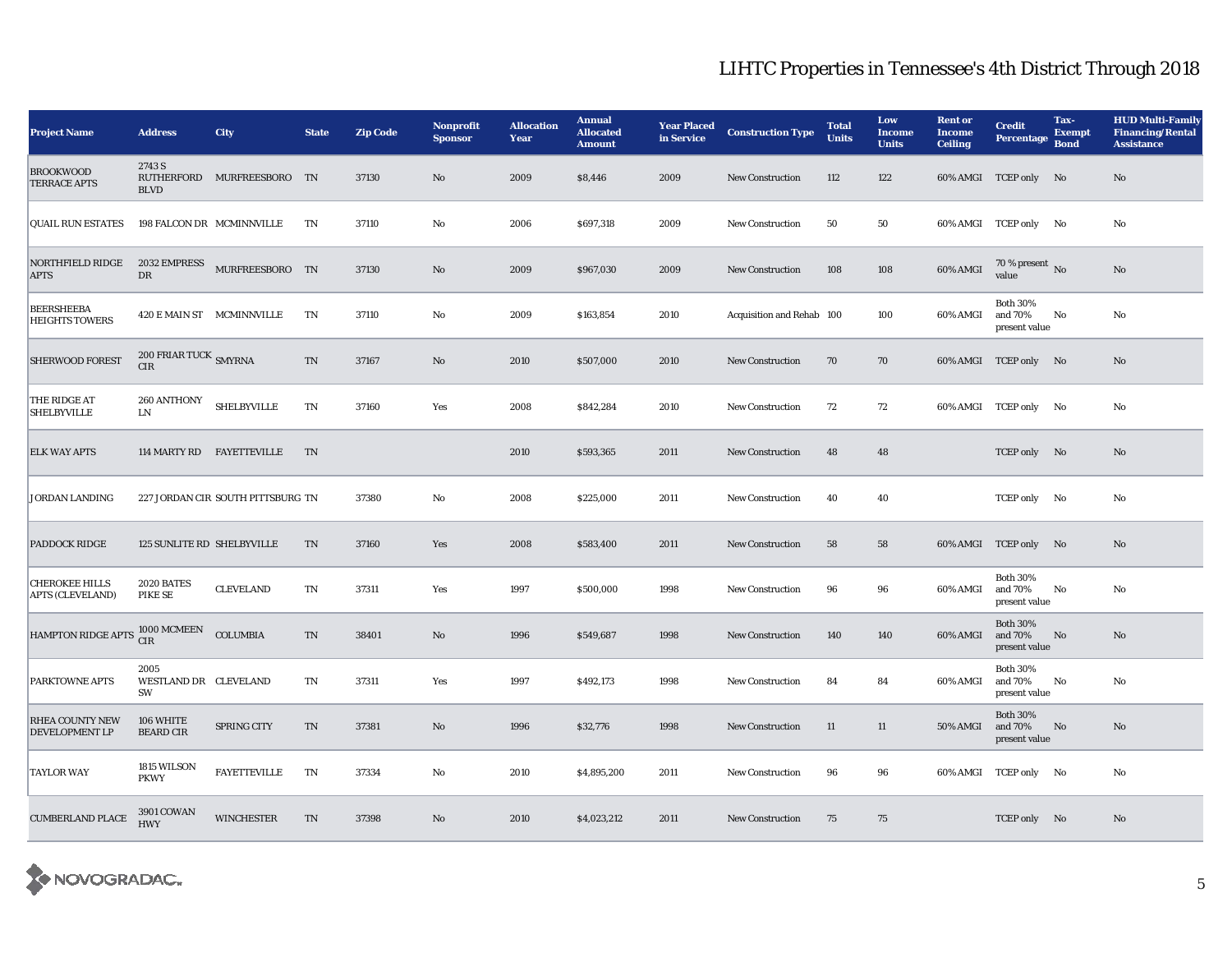| <b>Project Name</b>                                         | <b>Address</b>                      | <b>City</b>                       | <b>State</b>           | <b>Zip Code</b> | <b>Nonprofit</b><br><b>Sponsor</b> | <b>Allocation</b><br>Year | <b>Annual</b><br><b>Allocated</b><br><b>Amount</b> | <b>Year Placed</b><br>in Service | <b>Construction Type</b>  | <b>Total</b><br><b>Units</b> | Low<br><b>Income</b><br><b>Units</b> | <b>Rent or</b><br><b>Income</b><br><b>Ceiling</b> | <b>Credit</b><br><b>Percentage</b>          | Tax-<br><b>Exempt</b><br><b>Bond</b> | <b>HUD Multi-Family</b><br><b>Financing/Rental</b><br><b>Assistance</b> |
|-------------------------------------------------------------|-------------------------------------|-----------------------------------|------------------------|-----------------|------------------------------------|---------------------------|----------------------------------------------------|----------------------------------|---------------------------|------------------------------|--------------------------------------|---------------------------------------------------|---------------------------------------------|--------------------------------------|-------------------------------------------------------------------------|
| <b>BROOKWOOD</b><br><b>TERRACE APTS</b>                     | 2743 S<br><b>BLVD</b>               | RUTHERFORD MURFREESBORO TN        |                        | 37130           | $\mathbf{N}\mathbf{o}$             | 2009                      | \$8,446                                            | 2009                             | <b>New Construction</b>   | 112                          | 122                                  |                                                   | 60% AMGI TCEP only No                       |                                      | No                                                                      |
| <b>QUAIL RUN ESTATES</b>                                    |                                     | 198 FALCON DR MCMINNVILLE         | TN                     | 37110           | No                                 | 2006                      | \$697,318                                          | 2009                             | <b>New Construction</b>   | 50                           | 50                                   |                                                   | 60% AMGI TCEP only No                       |                                      | No                                                                      |
| NORTHFIELD RIDGE<br><b>APTS</b>                             | 2032 EMPRESS<br>DR                  | MURFREESBORO TN                   |                        | 37130           | $\mathbf{N}\mathbf{o}$             | 2009                      | \$967,030                                          | 2009                             | <b>New Construction</b>   | 108                          | 108                                  | 60% AMGI                                          | $70\,\%$ present $\,$ No value              |                                      | No                                                                      |
| <b>BEERSHEEBA</b><br><b>HEIGHTS TOWERS</b>                  |                                     | 420 E MAIN ST MCMINNVILLE         | TN                     | 37110           | No                                 | 2009                      | \$163,854                                          | 2010                             | Acquisition and Rehab 100 |                              | 100                                  | 60% AMGI                                          | <b>Both 30%</b><br>and 70%<br>present value | No                                   | $\mathbf{N}\mathbf{o}$                                                  |
| <b>SHERWOOD FOREST</b>                                      | 200 FRIAR TUCK SMYRNA<br><b>CIR</b> |                                   | TN                     | 37167           | No                                 | 2010                      | \$507,000                                          | 2010                             | <b>New Construction</b>   | 70                           | 70                                   |                                                   | 60% AMGI TCEP only No                       |                                      | No                                                                      |
| THE RIDGE AT<br><b>SHELBYVILLE</b>                          | 260 ANTHONY<br>LN                   | <b>SHELBYVILLE</b>                | TN                     | 37160           | Yes                                | 2008                      | \$842,284                                          | 2010                             | <b>New Construction</b>   | 72                           | 72                                   |                                                   | 60% AMGI TCEP only No                       |                                      | No                                                                      |
| <b>ELK WAY APTS</b>                                         |                                     | 114 MARTY RD FAYETTEVILLE         | TN                     |                 |                                    | 2010                      | \$593,365                                          | 2011                             | <b>New Construction</b>   | 48                           | 48                                   |                                                   | TCEP only No                                |                                      | No                                                                      |
| <b>JORDAN LANDING</b>                                       |                                     | 227 JORDAN CIR SOUTH PITTSBURG TN |                        | 37380           | No                                 | 2008                      | \$225,000                                          | 2011                             | <b>New Construction</b>   | 40                           | 40                                   |                                                   | TCEP only No                                |                                      | No                                                                      |
| <b>PADDOCK RIDGE</b>                                        | 125 SUNLITE RD SHELBYVILLE          |                                   | TN                     | 37160           | Yes                                | 2008                      | \$583,400                                          | 2011                             | <b>New Construction</b>   | 58                           | 58                                   |                                                   | 60% AMGI TCEP only No                       |                                      | No                                                                      |
| <b>CHEROKEE HILLS</b><br><b>APTS (CLEVELAND)</b>            | 2020 BATES<br>PIKE SE               | <b>CLEVELAND</b>                  | $\mathbf{T}\mathbf{N}$ | 37311           | Yes                                | 1997                      | \$500,000                                          | 1998                             | <b>New Construction</b>   | 96                           | 96                                   | 60% AMGI                                          | <b>Both 30%</b><br>and 70%<br>present value | No                                   | No                                                                      |
| HAMPTON RIDGE APTS $\frac{1000 \text{ MCMEEN}}{\text{CIR}}$ |                                     | <b>COLUMBIA</b>                   | $\rm TN$               | 38401           | No                                 | 1996                      | \$549,687                                          | 1998                             | New Construction          | 140                          | 140                                  | 60% AMGI                                          | <b>Both 30%</b><br>and 70%<br>present value | No                                   | No                                                                      |
| PARKTOWNE APTS                                              | 2005<br>WESTLAND DR CLEVELAND<br>SW |                                   | TN                     | 37311           | Yes                                | 1997                      | \$492,173                                          | 1998                             | <b>New Construction</b>   | 84                           | 84                                   | 60% AMGI                                          | <b>Both 30%</b><br>and 70%<br>present value | No                                   | No                                                                      |
| <b>RHEA COUNTY NEW</b><br>DEVELOPMENT LP                    | 106 WHITE<br><b>BEARD CIR</b>       | <b>SPRING CITY</b>                | TN                     | 37381           | No                                 | 1996                      | \$32,776                                           | 1998                             | <b>New Construction</b>   | 11                           | 11                                   | 50% AMGI                                          | <b>Both 30%</b><br>and 70%<br>present value | No                                   | No                                                                      |
| <b>TAYLOR WAY</b>                                           | 1815 WILSON<br><b>PKWY</b>          | <b>FAYETTEVILLE</b>               | TN                     | 37334           | No                                 | 2010                      | \$4,895,200                                        | 2011                             | <b>New Construction</b>   | 96                           | 96                                   |                                                   | 60% AMGI TCEP only No                       |                                      | No                                                                      |
| <b>CUMBERLAND PLACE</b>                                     | 3901 COWAN<br><b>HWY</b>            | <b>WINCHESTER</b>                 | TN                     | 37398           | No                                 | 2010                      | \$4,023,212                                        | 2011                             | <b>New Construction</b>   | 75                           | 75                                   |                                                   | TCEP only No                                |                                      | No                                                                      |

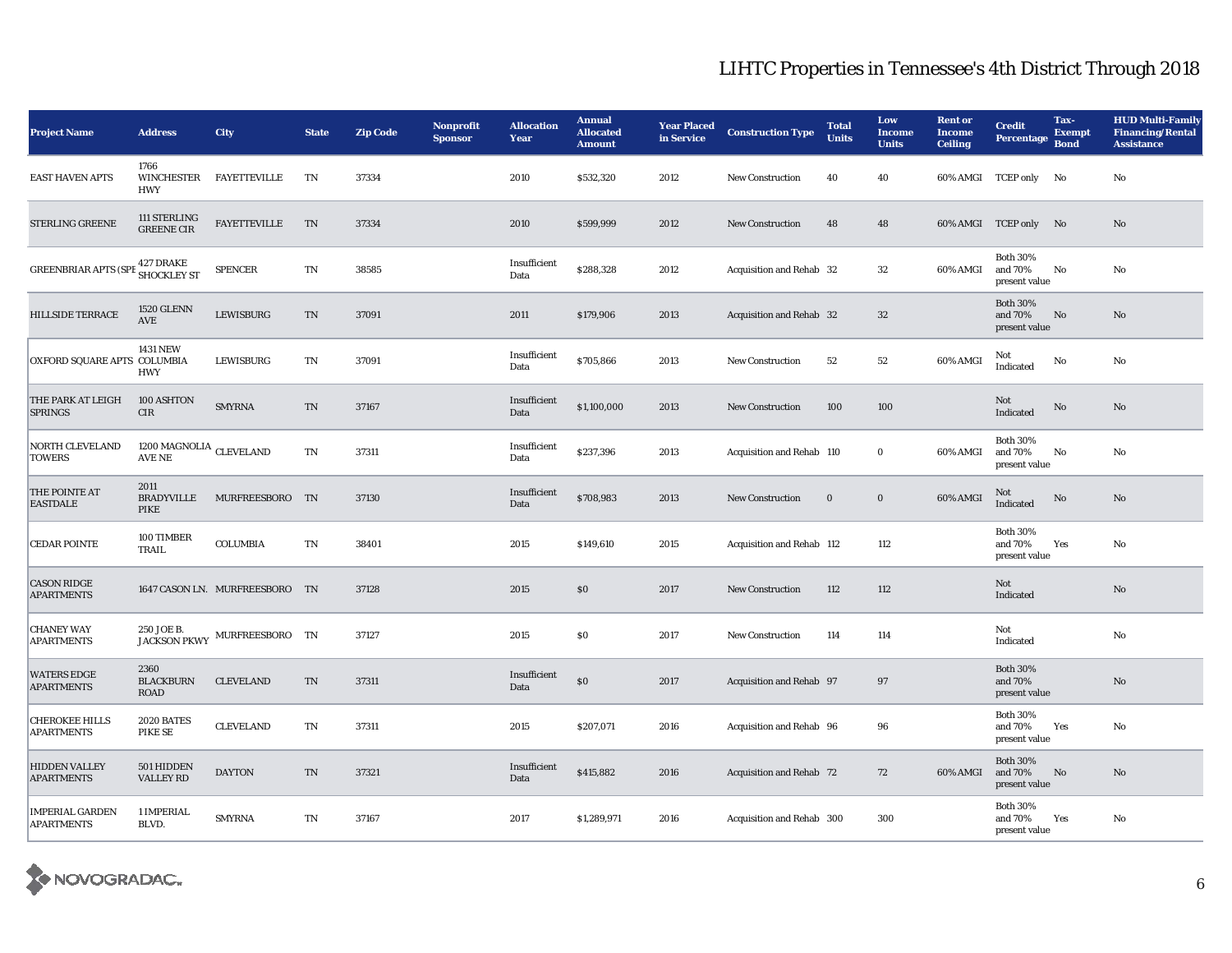| <b>Project Name</b>                         | <b>Address</b>                                  | City                           | <b>State</b> | <b>Zip Code</b> | <b>Nonprofit</b><br><b>Sponsor</b> | <b>Allocation</b><br>Year | <b>Annual</b><br><b>Allocated</b><br><b>Amount</b> | <b>Year Placed</b><br>in Service | <b>Construction Type</b>  | <b>Total</b><br><b>Units</b> | Low<br><b>Income</b><br><b>Units</b> | <b>Rent or</b><br><b>Income</b><br><b>Ceiling</b> | <b>Credit</b><br><b>Percentage</b>          | Tax-<br><b>Exempt</b><br><b>Bond</b> | <b>HUD Multi-Family</b><br><b>Financing/Rental</b><br><b>Assistance</b> |
|---------------------------------------------|-------------------------------------------------|--------------------------------|--------------|-----------------|------------------------------------|---------------------------|----------------------------------------------------|----------------------------------|---------------------------|------------------------------|--------------------------------------|---------------------------------------------------|---------------------------------------------|--------------------------------------|-------------------------------------------------------------------------|
| <b>EAST HAVEN APTS</b>                      | 1766<br>WINCHESTER<br><b>HWY</b>                | <b>FAYETTEVILLE</b>            | TN           | 37334           |                                    | 2010                      | \$532,320                                          | 2012                             | <b>New Construction</b>   | 40                           | 40                                   | 60% AMGI                                          | <b>TCEP only</b>                            | No                                   | No                                                                      |
| STERLING GREENE                             | 111 STERLING<br><b>GREENE CIR</b>               | <b>FAYETTEVILLE</b>            | <b>TN</b>    | 37334           |                                    | 2010                      | \$599,999                                          | 2012                             | <b>New Construction</b>   | 48                           | 48                                   |                                                   | 60% AMGI TCEP only No                       |                                      | $\rm No$                                                                |
| <b>GREENBRIAR APTS (SP</b>                  | $\frac{427}{2}$ DRAKE SHOCKLEY ST               | <b>SPENCER</b>                 | TN           | 38585           |                                    | Insufficient<br>Data      | \$288,328                                          | 2012                             | Acquisition and Rehab 32  |                              | 32                                   | 60% AMGI                                          | <b>Both 30%</b><br>and 70%<br>present value | No                                   | $\rm No$                                                                |
| <b>HILLSIDE TERRACE</b>                     | <b>1520 GLENN</b><br>AVE                        | <b>LEWISBURG</b>               | <b>TN</b>    | 37091           |                                    | 2011                      | \$179,906                                          | 2013                             | Acquisition and Rehab 32  |                              | $32\,$                               |                                                   | <b>Both 30%</b><br>and 70%<br>present value | No                                   | $\rm No$                                                                |
| OXFORD SQUARE APTS COLUMBIA                 | <b>1431 NEW</b><br><b>HWY</b>                   | <b>LEWISBURG</b>               | TN           | 37091           |                                    | Insufficient<br>Data      | \$705,866                                          | 2013                             | <b>New Construction</b>   | 52                           | 52                                   | 60% AMGI                                          | Not<br>Indicated                            | $\rm No$                             | No                                                                      |
| THE PARK AT LEIGH<br><b>SPRINGS</b>         | 100 ASHTON<br>CIR                               | <b>SMYRNA</b>                  | TN           | 37167           |                                    | Insufficient<br>Data      | \$1,100,000                                        | 2013                             | <b>New Construction</b>   | 100                          | 100                                  |                                                   | Not<br>Indicated                            | $\rm No$                             | $\rm No$                                                                |
| <b>NORTH CLEVELAND</b><br><b>TOWERS</b>     | $1200$ MAGNOLIA $_{\mbox{CLEVELAND}}$<br>AVE NE |                                | <b>TN</b>    | 37311           |                                    | Insufficient<br>Data      | \$237,396                                          | 2013                             | Acquisition and Rehab 110 |                              | $\bf{0}$                             | 60% AMGI                                          | <b>Both 30%</b><br>and 70%<br>present value | No                                   | No                                                                      |
| THE POINTE AT<br><b>EASTDALE</b>            | 2011<br><b>BRADYVILLE</b><br>PIKE               | MURFREESBORO                   | TN           | 37130           |                                    | Insufficient<br>Data      | \$708,983                                          | 2013                             | <b>New Construction</b>   | $\mathbf{0}$                 | $\bf{0}$                             | 60% AMGI                                          | Not<br>Indicated                            | $\rm No$                             | No                                                                      |
| <b>CEDAR POINTE</b>                         | 100 TIMBER<br>TRAIL                             | <b>COLUMBIA</b>                | TN           | 38401           |                                    | 2015                      | \$149,610                                          | 2015                             | Acquisition and Rehab 112 |                              | 112                                  |                                                   | <b>Both 30%</b><br>and 70%<br>present value | Yes                                  | $\rm No$                                                                |
| <b>CASON RIDGE</b><br><b>APARTMENTS</b>     |                                                 | 1647 CASON LN. MURFREESBORO TN |              | 37128           |                                    | 2015                      | \$0                                                | 2017                             | <b>New Construction</b>   | 112                          | 112                                  |                                                   | Not<br>Indicated                            |                                      | $\rm No$                                                                |
| <b>CHANEY WAY</b><br><b>APARTMENTS</b>      | 250 JOE B.                                      | JACKSON PKWY MURFREESBORO TN   |              | 37127           |                                    | 2015                      | \$0                                                | 2017                             | <b>New Construction</b>   | 114                          | 114                                  |                                                   | Not<br>Indicated                            |                                      | No                                                                      |
| <b>WATERS EDGE</b><br><b>APARTMENTS</b>     | 2360<br><b>BLACKBURN</b><br><b>ROAD</b>         | <b>CLEVELAND</b>               | <b>TN</b>    | 37311           |                                    | Insufficient<br>Data      | \$0                                                | 2017                             | Acquisition and Rehab 97  |                              | 97                                   |                                                   | <b>Both 30%</b><br>and 70%<br>present value |                                      | $\rm No$                                                                |
| <b>CHEROKEE HILLS</b><br><b>APARTMENTS</b>  | 2020 BATES<br>PIKE SE                           | <b>CLEVELAND</b>               | TN           | 37311           |                                    | 2015                      | \$207,071                                          | 2016                             | Acquisition and Rehab 96  |                              | 96                                   |                                                   | <b>Both 30%</b><br>and 70%<br>present value | Yes                                  | No                                                                      |
| <b>HIDDEN VALLEY</b><br><b>APARTMENTS</b>   | 501 HIDDEN<br><b>VALLEY RD</b>                  | <b>DAYTON</b>                  | <b>TN</b>    | 37321           |                                    | Insufficient<br>Data      | \$415,882                                          | 2016                             | Acquisition and Rehab 72  |                              | 72                                   | 60% AMGI                                          | <b>Both 30%</b><br>and 70%<br>present value | $\mathbf{N}\mathbf{o}$               | $\rm No$                                                                |
| <b>IMPERIAL GARDEN</b><br><b>APARTMENTS</b> | 1 IMPERIAL<br>BLVD.                             | <b>SMYRNA</b>                  | TN           | 37167           |                                    | 2017                      | \$1,289,971                                        | 2016                             | Acquisition and Rehab 300 |                              | 300                                  |                                                   | <b>Both 30%</b><br>and 70%<br>present value | Yes                                  | No                                                                      |